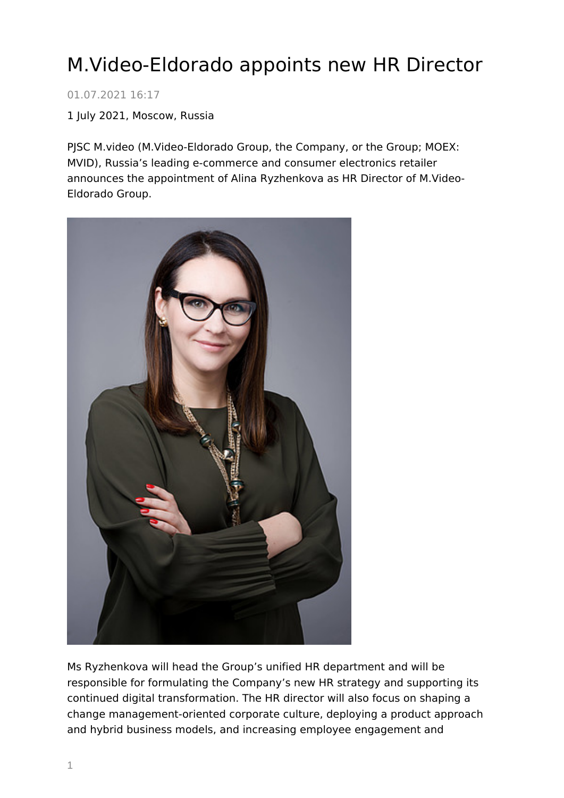## M.Video-Eldorado appoints new HR Director

01.07.2021 16:17

1 July 2021, Moscow, Russia

PJSC M.video (M.Video-Eldorado Group, the Company, or the Group; MOEX: MVID), Russia's leading e-commerce and consumer electronics retailer announces the appointment of Alina Ryzhenkova as HR Director of M.Video-Eldorado Group.



Ms Ryzhenkova will head the Group's unified HR department and will be responsible for formulating the Company's new HR strategy and supporting its continued digital transformation. The HR director will also focus on shaping a change management-oriented corporate culture, deploying a product approach and hybrid business models, and increasing employee engagement and